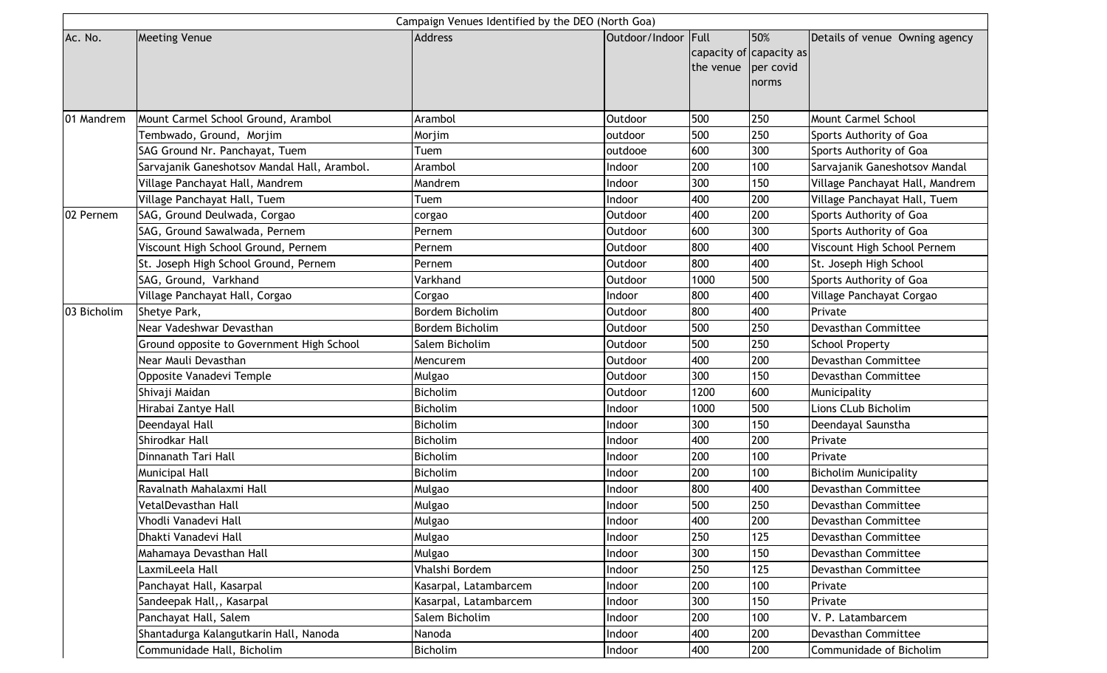| Campaign Venues Identified by the DEO (North Goa) |                                              |                       |                |                                              |                           |                                 |  |  |  |  |
|---------------------------------------------------|----------------------------------------------|-----------------------|----------------|----------------------------------------------|---------------------------|---------------------------------|--|--|--|--|
| Ac. No.                                           | <b>Meeting Venue</b>                         | <b>Address</b>        | Outdoor/Indoor | Full<br>capacity of capacity as<br>the venue | 50%<br>per covid<br>norms | Details of venue Owning agency  |  |  |  |  |
| 01 Mandrem                                        | Mount Carmel School Ground, Arambol          | Arambol               | Outdoor        | 500                                          | 250                       | Mount Carmel School             |  |  |  |  |
|                                                   | Tembwado, Ground, Morjim                     | Morjim                | outdoor        | 500                                          | 250                       | Sports Authority of Goa         |  |  |  |  |
|                                                   | SAG Ground Nr. Panchayat, Tuem               | Tuem                  | outdooe        | 600                                          | 300                       | Sports Authority of Goa         |  |  |  |  |
|                                                   | Sarvajanik Ganeshotsov Mandal Hall, Arambol. | Arambol               | Indoor         | 200                                          | 100                       | Sarvajanik Ganeshotsov Mandal   |  |  |  |  |
|                                                   | Village Panchayat Hall, Mandrem              | Mandrem               | Indoor         | 300                                          | 150                       | Village Panchayat Hall, Mandrem |  |  |  |  |
|                                                   | Village Panchayat Hall, Tuem                 | Tuem                  | Indoor         | 400                                          | 200                       | Village Panchayat Hall, Tuem    |  |  |  |  |
| 02 Pernem                                         | SAG, Ground Deulwada, Corgao                 | corgao                | Outdoor        | 400                                          | 200                       | Sports Authority of Goa         |  |  |  |  |
|                                                   | SAG, Ground Sawalwada, Pernem                | Pernem                | Outdoor        | 600                                          | 300                       | Sports Authority of Goa         |  |  |  |  |
|                                                   | Viscount High School Ground, Pernem          | Pernem                | Outdoor        | 800                                          | 400                       | Viscount High School Pernem     |  |  |  |  |
|                                                   | St. Joseph High School Ground, Pernem        | Pernem                | Outdoor        | 800                                          | 400                       | St. Joseph High School          |  |  |  |  |
|                                                   | SAG, Ground, Varkhand                        | Varkhand              | Outdoor        | 1000                                         | 500                       | Sports Authority of Goa         |  |  |  |  |
|                                                   | Village Panchayat Hall, Corgao               | Corgao                | Indoor         | 800                                          | 400                       | Village Panchayat Corgao        |  |  |  |  |
| 03 Bicholim                                       | Shetye Park,                                 | Bordem Bicholim       | Outdoor        | 800                                          | 400                       | Private                         |  |  |  |  |
|                                                   | Near Vadeshwar Devasthan                     | Bordem Bicholim       | Outdoor        | 500                                          | 250                       | Devasthan Committee             |  |  |  |  |
|                                                   | Ground opposite to Government High School    | Salem Bicholim        | Outdoor        | 500                                          | 250                       | <b>School Property</b>          |  |  |  |  |
|                                                   | Near Mauli Devasthan                         | Mencurem              | Outdoor        | 400                                          | 200                       | Devasthan Committee             |  |  |  |  |
|                                                   | Opposite Vanadevi Temple                     | Mulgao                | Outdoor        | 300                                          | 150                       | Devasthan Committee             |  |  |  |  |
|                                                   | Shivaji Maidan                               | <b>Bicholim</b>       | Outdoor        | 1200                                         | 600                       | Municipality                    |  |  |  |  |
|                                                   | Hirabai Zantye Hall                          | Bicholim              | Indoor         | 1000                                         | 500                       | Lions CLub Bicholim             |  |  |  |  |
|                                                   | Deendayal Hall                               | <b>Bicholim</b>       | Indoor         | 300                                          | 150                       | Deendayal Saunstha              |  |  |  |  |
|                                                   | Shirodkar Hall                               | Bicholim              | Indoor         | 400                                          | 200                       | Private                         |  |  |  |  |
|                                                   | Dinnanath Tari Hall                          | Bicholim              | Indoor         | 200                                          | 100                       | Private                         |  |  |  |  |
|                                                   | Municipal Hall                               | Bicholim              | Indoor         | 200                                          | 100                       | <b>Bicholim Municipality</b>    |  |  |  |  |
|                                                   | Ravalnath Mahalaxmi Hall                     | Mulgao                | Indoor         | 800                                          | 400                       | Devasthan Committee             |  |  |  |  |
|                                                   | VetalDevasthan Hall                          | Mulgao                | Indoor         | 500                                          | 250                       | Devasthan Committee             |  |  |  |  |
|                                                   | Vhodli Vanadevi Hall                         | Mulgao                | Indoor         | 400                                          | 200                       | Devasthan Committee             |  |  |  |  |
|                                                   | Dhakti Vanadevi Hall                         | Mulgao                | Indoor         | 250                                          | 125                       | Devasthan Committee             |  |  |  |  |
|                                                   | Mahamaya Devasthan Hall                      | Mulgao                | Indoor         | 300                                          | 150                       | Devasthan Committee             |  |  |  |  |
|                                                   | LaxmiLeela Hall                              | Vhalshi Bordem        | Indoor         | 250                                          | 125                       | Devasthan Committee             |  |  |  |  |
|                                                   | Panchayat Hall, Kasarpal                     | Kasarpal, Latambarcem | Indoor         | 200                                          | 100                       | Private                         |  |  |  |  |
|                                                   | Sandeepak Hall,, Kasarpal                    | Kasarpal, Latambarcem | Indoor         | 300                                          | 150                       | Private                         |  |  |  |  |
|                                                   | Panchayat Hall, Salem                        | Salem Bicholim        | Indoor         | 200                                          | 100                       | V. P. Latambarcem               |  |  |  |  |
|                                                   | Shantadurga Kalangutkarin Hall, Nanoda       | Nanoda                | Indoor         | 400                                          | 200                       | Devasthan Committee             |  |  |  |  |
|                                                   | Communidade Hall, Bicholim                   | Bicholim              | Indoor         | 400                                          | 200                       | Communidade of Bicholim         |  |  |  |  |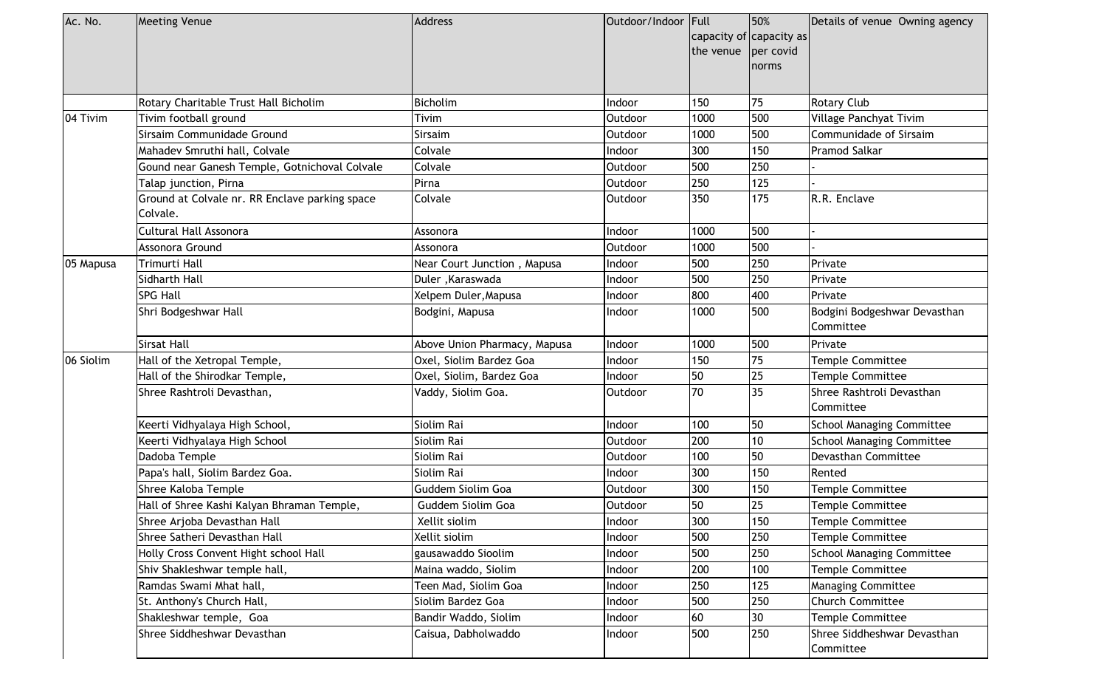| Ac. No.   | <b>Meeting Venue</b>                                       | <b>Address</b>               | Outdoor/Indoor Full | the venue | 50%<br>capacity of capacity as<br>per covid<br>norms | Details of venue Owning agency            |
|-----------|------------------------------------------------------------|------------------------------|---------------------|-----------|------------------------------------------------------|-------------------------------------------|
|           | Rotary Charitable Trust Hall Bicholim                      | Bicholim                     | Indoor              | 150       | 75                                                   | <b>Rotary Club</b>                        |
| 04 Tivim  | Tivim football ground                                      | Tivim                        | Outdoor             | 1000      | 500                                                  | Village Panchyat Tivim                    |
|           | Sirsaim Communidade Ground                                 | Sirsaim                      | Outdoor             | 1000      | 500                                                  | Communidade of Sirsaim                    |
|           | Mahadev Smruthi hall, Colvale                              | Colvale                      | Indoor              | 300       | 150                                                  | Pramod Salkar                             |
|           | Gound near Ganesh Temple, Gotnichoval Colvale              | Colvale                      | Outdoor             | 500       | 250                                                  |                                           |
|           | Talap junction, Pirna                                      | Pirna                        | Outdoor             | 250       | 125                                                  |                                           |
|           | Ground at Colvale nr. RR Enclave parking space<br>Colvale. | Colvale                      | Outdoor             | 350       | 175                                                  | R.R. Enclave                              |
|           | Cultural Hall Assonora                                     | Assonora                     | Indoor              | 1000      | 500                                                  |                                           |
|           | Assonora Ground                                            | Assonora                     | Outdoor             | 1000      | 500                                                  |                                           |
| 05 Mapusa | Trimurti Hall                                              | Near Court Junction, Mapusa  | Indoor              | 500       | 250                                                  | Private                                   |
|           | Sidharth Hall                                              | Duler, Karaswada             | Indoor              | 500       | 250                                                  | Private                                   |
|           | <b>SPG Hall</b>                                            | Xelpem Duler, Mapusa         | Indoor              | 800       | 400                                                  | Private                                   |
|           | Shri Bodgeshwar Hall                                       | Bodgini, Mapusa              | Indoor              | 1000      | 500                                                  | Bodgini Bodgeshwar Devasthan<br>Committee |
|           | <b>Sirsat Hall</b>                                         | Above Union Pharmacy, Mapusa | Indoor              | 1000      | 500                                                  | Private                                   |
| 06 Siolim | Hall of the Xetropal Temple,                               | Oxel, Siolim Bardez Goa      | Indoor              | 150       | 75                                                   | <b>Temple Committee</b>                   |
|           | Hall of the Shirodkar Temple,                              | Oxel, Siolim, Bardez Goa     | Indoor              | 50        | 25                                                   | Temple Committee                          |
|           | Shree Rashtroli Devasthan,                                 | Vaddy, Siolim Goa.           | Outdoor             | 70        | 35                                                   | Shree Rashtroli Devasthan<br>Committee    |
|           | Keerti Vidhyalaya High School,                             | Siolim Rai                   | Indoor              | 100       | 50                                                   | <b>School Managing Committee</b>          |
|           | Keerti Vidhyalaya High School                              | Siolim Rai                   | Outdoor             | 200       | 10 <sup>1</sup>                                      | <b>School Managing Committee</b>          |
|           | Dadoba Temple                                              | Siolim Rai                   | Outdoor             | 100       | 50                                                   | Devasthan Committee                       |
|           | Papa's hall, Siolim Bardez Goa.                            | Siolim Rai                   | Indoor              | 300       | 150                                                  | Rented                                    |
|           | Shree Kaloba Temple                                        | Guddem Siolim Goa            | Outdoor             | 300       | 150                                                  | Temple Committee                          |
|           | Hall of Shree Kashi Kalyan Bhraman Temple,                 | Guddem Siolim Goa            | Outdoor             | 50        | 25                                                   | Temple Committee                          |
|           | Shree Arjoba Devasthan Hall                                | Xellit siolim                | Indoor              | 300       | 150                                                  | Temple Committee                          |
|           | Shree Satheri Devasthan Hall                               | Xellit siolim                | Indoor              | 500       | 250                                                  | Temple Committee                          |
|           | Holly Cross Convent Hight school Hall                      | gausawaddo Sioolim           | Indoor              | 500       | 250                                                  | <b>School Managing Committee</b>          |
|           | Shiv Shakleshwar temple hall,                              | Maina waddo, Siolim          | Indoor              | 200       | 100                                                  | Temple Committee                          |
|           | Ramdas Swami Mhat hall,                                    | Teen Mad, Siolim Goa         | Indoor              | 250       | 125                                                  | <b>Managing Committee</b>                 |
|           | St. Anthony's Church Hall,                                 | Siolim Bardez Goa            | Indoor              | 500       | 250                                                  | <b>Church Committee</b>                   |
|           | Shakleshwar temple, Goa                                    | Bandir Waddo, Siolim         | Indoor              | 60        | 30                                                   | Temple Committee                          |
|           | Shree Siddheshwar Devasthan                                | Caisua, Dabholwaddo          | Indoor              | 500       | 250                                                  | Shree Siddheshwar Devasthan<br>Committee  |
|           |                                                            |                              |                     |           |                                                      |                                           |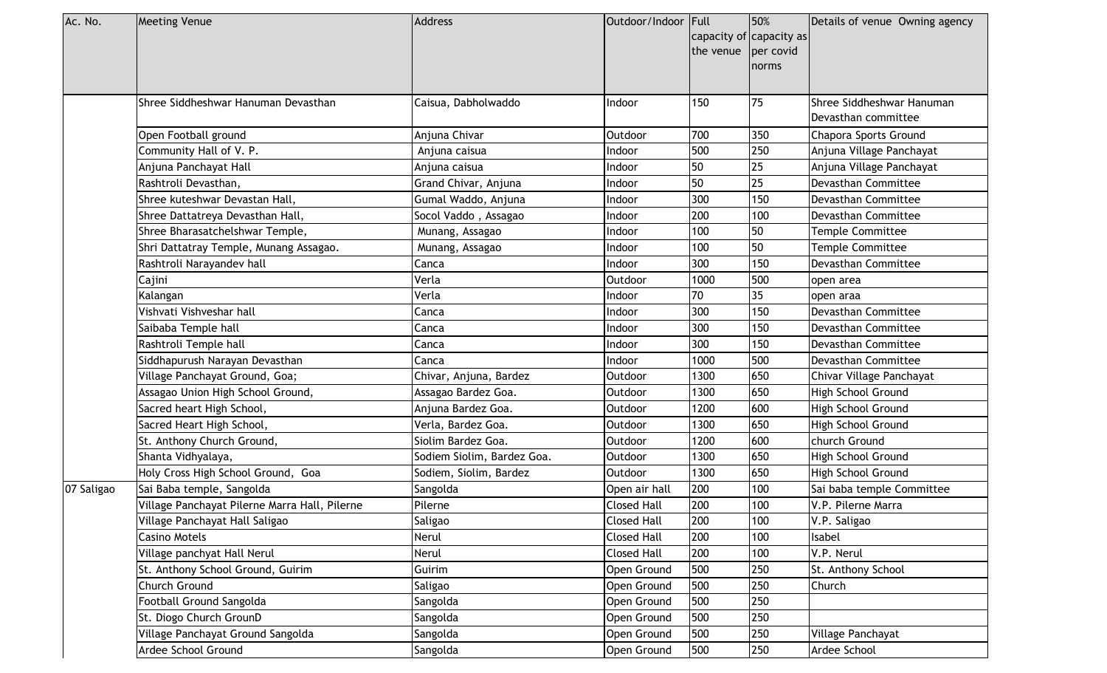| Ac. No.    | <b>Meeting Venue</b>                          | <b>Address</b>             | Outdoor/Indoor Full |                         | 50%       | Details of venue Owning agency |
|------------|-----------------------------------------------|----------------------------|---------------------|-------------------------|-----------|--------------------------------|
|            |                                               |                            |                     | capacity of capacity as |           |                                |
|            |                                               |                            |                     | the venue               | per covid |                                |
|            |                                               |                            |                     |                         | norms     |                                |
|            |                                               |                            |                     |                         |           |                                |
|            | Shree Siddheshwar Hanuman Devasthan           | Caisua, Dabholwaddo        | Indoor              | 150                     | 75        | Shree Siddheshwar Hanuman      |
|            |                                               |                            |                     |                         |           | Devasthan committee            |
|            | Open Football ground                          | Anjuna Chivar              | Outdoor             | 700                     | 350       | <b>Chapora Sports Ground</b>   |
|            | Community Hall of V. P.                       | Anjuna caisua              | Indoor              | 500                     | 250       | Anjuna Village Panchayat       |
|            | Anjuna Panchayat Hall                         | Anjuna caisua              | Indoor              | 50                      | 25        | Anjuna Village Panchayat       |
|            | Rashtroli Devasthan,                          | Grand Chivar, Anjuna       | Indoor              | 50                      | 25        | Devasthan Committee            |
|            | Shree kuteshwar Devastan Hall,                | Gumal Waddo, Anjuna        | Indoor              | 300                     | 150       | Devasthan Committee            |
|            | Shree Dattatreya Devasthan Hall,              | Socol Vaddo, Assagao       | Indoor              | 200                     | 100       | Devasthan Committee            |
|            | Shree Bharasatchelshwar Temple,               | Munang, Assagao            | Indoor              | 100                     | 50        | <b>Temple Committee</b>        |
|            | Shri Dattatray Temple, Munang Assagao.        | Munang, Assagao            | Indoor              | 100                     | 50        | <b>Temple Committee</b>        |
|            | Rashtroli Narayandev hall                     | Canca                      | Indoor              | 300                     | 150       | Devasthan Committee            |
|            | Cajini                                        | Verla                      | Outdoor             | 1000                    | 500       | open area                      |
|            | Kalangan                                      | Verla                      | Indoor              | 70                      | 35        | open araa                      |
|            | Vishvati Vishveshar hall                      | Canca                      | Indoor              | 300                     | 150       | Devasthan Committee            |
|            | Saibaba Temple hall                           | Canca                      | Indoor              | 300                     | 150       | Devasthan Committee            |
|            | Rashtroli Temple hall                         | Canca                      | Indoor              | 300                     | 150       | Devasthan Committee            |
|            | Siddhapurush Narayan Devasthan                | Canca                      | Indoor              | 1000                    | 500       | Devasthan Committee            |
|            | Village Panchayat Ground, Goa;                | Chivar, Anjuna, Bardez     | Outdoor             | 1300                    | 650       | Chivar Village Panchayat       |
|            | Assagao Union High School Ground,             | Assagao Bardez Goa.        | Outdoor             | 1300                    | 650       | High School Ground             |
|            | Sacred heart High School,                     | Anjuna Bardez Goa.         | Outdoor             | 1200                    | 600       | High School Ground             |
|            | Sacred Heart High School,                     | Verla, Bardez Goa.         | Outdoor             | 1300                    | 650       | High School Ground             |
|            | St. Anthony Church Ground,                    | Siolim Bardez Goa.         | Outdoor             | 1200                    | 600       | church Ground                  |
|            | Shanta Vidhyalaya,                            | Sodiem Siolim, Bardez Goa. | Outdoor             | 1300                    | 650       | High School Ground             |
|            | Holy Cross High School Ground, Goa            | Sodiem, Siolim, Bardez     | Outdoor             | 1300                    | 650       | High School Ground             |
| 07 Saligao | Sai Baba temple, Sangolda                     | Sangolda                   | Open air hall       | 200                     | 100       | Sai baba temple Committee      |
|            | Village Panchayat Pilerne Marra Hall, Pilerne | Pilerne                    | <b>Closed Hall</b>  | 200                     | 100       | V.P. Pilerne Marra             |
|            | Village Panchayat Hall Saligao                | <b>Saligao</b>             | <b>Closed Hall</b>  | 200                     | 100       | V.P. Saligao                   |
|            | Casino Motels                                 | Nerul                      | <b>Closed Hall</b>  | 200                     | 100       | Isabel                         |
|            | Village panchyat Hall Nerul                   | Nerul                      | <b>Closed Hall</b>  | 200                     | 100       | V.P. Nerul                     |
|            | St. Anthony School Ground, Guirim             | Guirim                     | Open Ground         | 500                     | 250       | St. Anthony School             |
|            | Church Ground                                 | Saligao                    | Open Ground         | 500                     | 250       | Church                         |
|            | Football Ground Sangolda                      | Sangolda                   | Open Ground         | 500                     | 250       |                                |
|            | St. Diogo Church GrounD                       | Sangolda                   | Open Ground         | 500                     | 250       |                                |
|            | Village Panchayat Ground Sangolda             | Sangolda                   | Open Ground         | 500                     | 250       | Village Panchayat              |
|            | Ardee School Ground                           | Sangolda                   | Open Ground         | 500                     | 250       | Ardee School                   |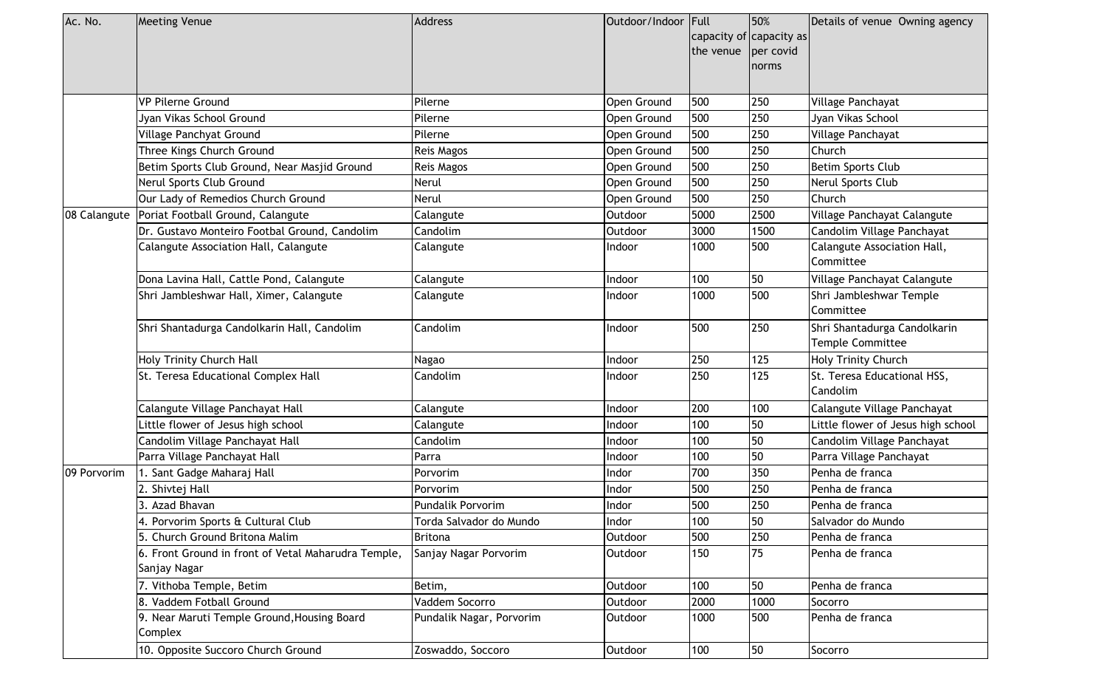| Ac. No.      | <b>Meeting Venue</b>                                                | <b>Address</b>           | Outdoor/Indoor Full | the venue | 50%<br>capacity of capacity as<br>per covid<br>norms | Details of venue Owning agency                          |
|--------------|---------------------------------------------------------------------|--------------------------|---------------------|-----------|------------------------------------------------------|---------------------------------------------------------|
|              | <b>VP Pilerne Ground</b>                                            | Pilerne                  | Open Ground         | 500       | 250                                                  | Village Panchayat                                       |
|              | Jyan Vikas School Ground                                            | Pilerne                  | Open Ground         | 500       | 250                                                  | Jyan Vikas School                                       |
|              | Village Panchyat Ground                                             | Pilerne                  | Open Ground         | 500       | 250                                                  | Village Panchayat                                       |
|              | Three Kings Church Ground                                           | <b>Reis Magos</b>        | Open Ground         | 500       | 250                                                  | Church                                                  |
|              | Betim Sports Club Ground, Near Masjid Ground                        | <b>Reis Magos</b>        | Open Ground         | 500       | 250                                                  | <b>Betim Sports Club</b>                                |
|              | Nerul Sports Club Ground                                            | Nerul                    | Open Ground         | 500       | 250                                                  | Nerul Sports Club                                       |
|              | Our Lady of Remedios Church Ground                                  | <b>Nerul</b>             | Open Ground         | 500       | 250                                                  | Church                                                  |
| 08 Calangute | Poriat Football Ground, Calangute                                   | Calangute                | Outdoor             | 5000      | 2500                                                 | Village Panchayat Calangute                             |
|              | Dr. Gustavo Monteiro Footbal Ground, Candolim                       | Candolim                 | Outdoor             | 3000      | 1500                                                 | Candolim Village Panchayat                              |
|              | Calangute Association Hall, Calangute                               | Calangute                | Indoor              | 1000      | 500                                                  | Calangute Association Hall,<br>Committee                |
|              | Dona Lavina Hall, Cattle Pond, Calangute                            | Calangute                | Indoor              | 100       | 50                                                   | Village Panchayat Calangute                             |
|              | Shri Jambleshwar Hall, Ximer, Calangute                             | Calangute                | Indoor              | 1000      | 500                                                  | Shri Jambleshwar Temple<br>Committee                    |
|              | Shri Shantadurga Candolkarin Hall, Candolim                         | Candolim                 | ndoor               | 500       | 250                                                  | Shri Shantadurga Candolkarin<br><b>Temple Committee</b> |
|              | Holy Trinity Church Hall                                            | Nagao                    | Indoor              | 250       | 125                                                  | Holy Trinity Church                                     |
|              | St. Teresa Educational Complex Hall                                 | Candolim                 | Indoor              | 250       | 125                                                  | St. Teresa Educational HSS,<br>Candolim                 |
|              | Calangute Village Panchayat Hall                                    | Calangute                | Indoor              | 200       | 100                                                  | Calangute Village Panchayat                             |
|              | Little flower of Jesus high school                                  | Calangute                | Indoor              | 100       | 50                                                   | Little flower of Jesus high school                      |
|              | Candolim Village Panchayat Hall                                     | Candolim                 | Indoor              | 100       | 50                                                   | Candolim Village Panchayat                              |
|              | Parra Village Panchayat Hall                                        | Parra                    | Indoor              | 100       | 50                                                   | Parra Village Panchayat                                 |
| 09 Porvorim  | I. Sant Gadge Maharaj Hall                                          | Porvorim                 | Indor               | 700       | 350                                                  | Penha de franca                                         |
|              | 2. Shivtej Hall                                                     | Porvorim                 | Indor               | 500       | 250                                                  | Penha de franca                                         |
|              | 3. Azad Bhavan                                                      | Pundalik Porvorim        | Indor               | 500       | 250                                                  | Penha de franca                                         |
|              | 4. Porvorim Sports & Cultural Club                                  | Torda Salvador do Mundo  | Indor               | 100       | 50                                                   | Salvador do Mundo                                       |
|              | 5. Church Ground Britona Malim                                      | <b>Britona</b>           | Outdoor             | 500       | 250                                                  | Penha de franca                                         |
|              | 6. Front Ground in front of Vetal Maharudra Temple,<br>Sanjay Nagar | Sanjay Nagar Porvorim    | Outdoor             | 150       | 75                                                   | Penha de franca                                         |
|              | 7. Vithoba Temple, Betim                                            | Betim,                   | Outdoor             | 100       | 50                                                   | Penha de franca                                         |
|              | 8. Vaddem Fotball Ground                                            | Vaddem Socorro           | Outdoor             | 2000      | 1000                                                 | Socorro                                                 |
|              | 9. Near Maruti Temple Ground, Housing Board<br>Complex              | Pundalik Nagar, Porvorim | Outdoor             | 1000      | 500                                                  | Penha de franca                                         |
|              | 10. Opposite Succoro Church Ground                                  | Zoswaddo, Soccoro        | Outdoor             | 100       | 50                                                   | Socorro                                                 |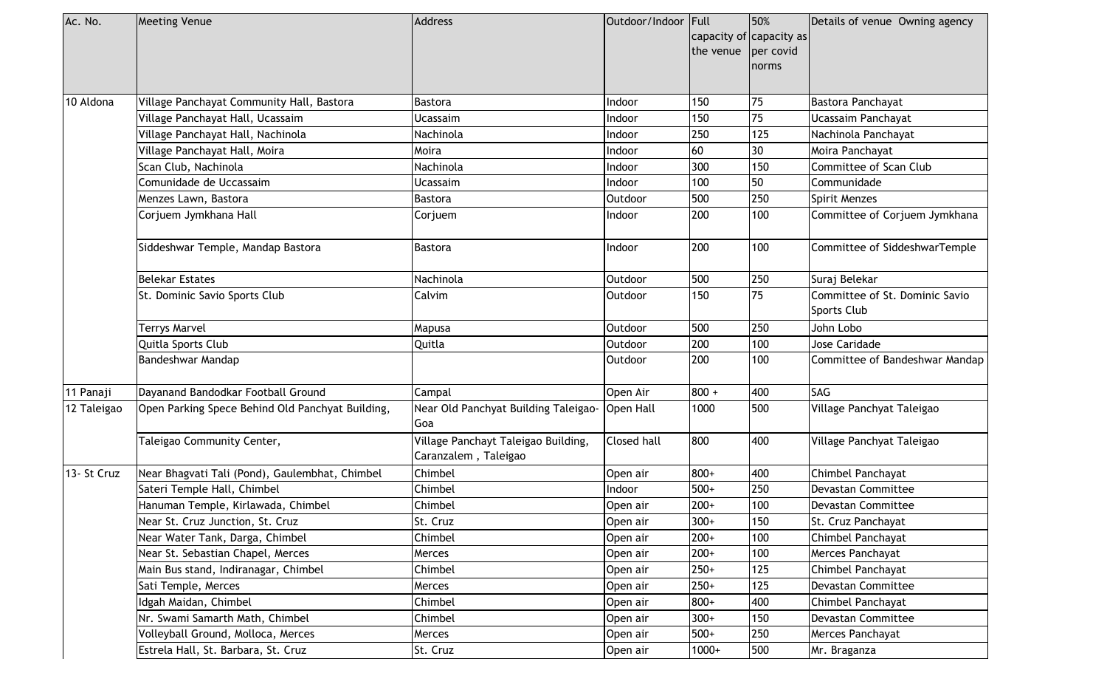| Ac. No.     | <b>Meeting Venue</b>                             | <b>Address</b>                                              | Outdoor/Indoor Full | the venue   per covid | 50%<br>capacity of capacity as<br>norms | Details of venue Owning agency                |  |
|-------------|--------------------------------------------------|-------------------------------------------------------------|---------------------|-----------------------|-----------------------------------------|-----------------------------------------------|--|
| 10 Aldona   | Village Panchayat Community Hall, Bastora        | Bastora                                                     | Indoor              | 150                   | 75                                      | Bastora Panchayat                             |  |
|             | Village Panchayat Hall, Ucassaim                 | <b>Ucassaim</b>                                             | Indoor              | 150                   | 75                                      | Ucassaim Panchayat                            |  |
|             | Village Panchayat Hall, Nachinola                | Nachinola                                                   | Indoor              | 250                   | 125                                     | Nachinola Panchayat                           |  |
|             | Village Panchayat Hall, Moira                    | Moira                                                       | Indoor              | 60                    | 30                                      | Moira Panchayat                               |  |
|             | Scan Club, Nachinola                             | Nachinola                                                   | Indoor              | 300                   | 150                                     | Committee of Scan Club                        |  |
|             | Comunidade de Uccassaim                          | Ucassaim                                                    | Indoor              | 100                   | 50                                      | Communidade                                   |  |
|             | Menzes Lawn, Bastora                             | Bastora                                                     | Outdoor             | 500                   | 250                                     | Spirit Menzes                                 |  |
|             | Corjuem Jymkhana Hall                            | Corjuem                                                     | Indoor              | 200                   | 100                                     | Committee of Corjuem Jymkhana                 |  |
|             | Siddeshwar Temple, Mandap Bastora                | <b>Bastora</b>                                              | Indoor              | 200                   | 100                                     | Committee of SiddeshwarTemple                 |  |
|             | <b>Belekar Estates</b>                           | Nachinola                                                   | Outdoor             | 500                   | 250                                     | Suraj Belekar                                 |  |
|             | St. Dominic Savio Sports Club                    | Calvim                                                      | Outdoor             | 150                   | 75                                      | Committee of St. Dominic Savio<br>Sports Club |  |
|             | <b>Terrys Marvel</b>                             | Mapusa                                                      | <b>Outdoor</b>      | 500                   | 250                                     | John Lobo                                     |  |
|             | Quitla Sports Club                               | Quitla                                                      | Outdoor             | 200                   | 100                                     | Jose Caridade                                 |  |
|             | Bandeshwar Mandap                                |                                                             | Outdoor             | 200                   | 100                                     | Committee of Bandeshwar Mandap                |  |
| 11 Panaji   | Dayanand Bandodkar Football Ground               | Campal                                                      | Open Air            | $800 +$               | 400                                     | SAG                                           |  |
| 12 Taleigao | Open Parking Spece Behind Old Panchyat Building, | Near Old Panchyat Building Taleigao-<br> Goa                | <b>Open Hall</b>    | 1000                  | 500                                     | Village Panchyat Taleigao                     |  |
|             | Taleigao Community Center,                       | Village Panchayt Taleigao Building,<br>Caranzalem, Taleigao | Closed hall         | 800                   | 400                                     | Village Panchyat Taleigao                     |  |
| 13- St Cruz | Near Bhagvati Tali (Pond), Gaulembhat, Chimbel   | Chimbel                                                     | Open air            | 800+                  | 400                                     | Chimbel Panchayat                             |  |
|             | Sateri Temple Hall, Chimbel                      | Chimbel                                                     | Indoor              | $500+$                | 250                                     | Devastan Committee                            |  |
|             | Hanuman Temple, Kirlawada, Chimbel               | Chimbel                                                     | Open air            | $200+$                | 100                                     | Devastan Committee                            |  |
|             | Near St. Cruz Junction, St. Cruz                 | St. Cruz                                                    | Open air            | $300+$                | 150                                     | St. Cruz Panchayat                            |  |
|             | Near Water Tank, Darga, Chimbel                  | Chimbel                                                     | Open air            | $200+$                | 100                                     | Chimbel Panchayat                             |  |
|             | Near St. Sebastian Chapel, Merces                | Merces                                                      | Open air            | $200+$                | 100                                     | Merces Panchayat                              |  |
|             | Main Bus stand, Indiranagar, Chimbel             | Chimbel                                                     | Open air            | $250+$                | 125                                     | Chimbel Panchayat                             |  |
|             | Sati Temple, Merces                              | Merces                                                      | Open air            | $250+$                | 125                                     | Devastan Committee                            |  |
|             | Idgah Maidan, Chimbel                            | Chimbel                                                     | Open air            | 800+                  | 400                                     | Chimbel Panchayat                             |  |
|             | Nr. Swami Samarth Math, Chimbel                  | Chimbel                                                     | Open air            | $300+$                | 150                                     | Devastan Committee                            |  |
|             | Volleyball Ground, Molloca, Merces               | Merces                                                      | Open air            | $500+$                | 250                                     | Merces Panchayat                              |  |
|             | Estrela Hall, St. Barbara, St. Cruz              | St. Cruz                                                    | Open air            | $1000+$               | 500                                     | Mr. Braganza                                  |  |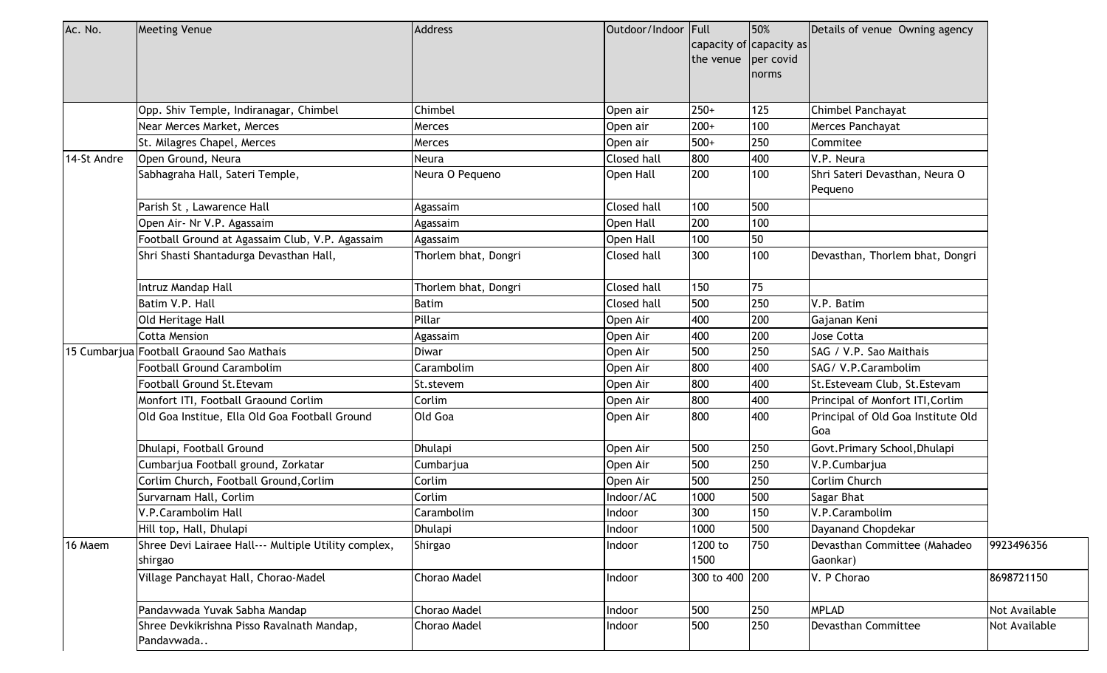| Ac. No.     | <b>Meeting Venue</b>                                            | Address              | Outdoor/Indoor Full |                     | 50%                     | Details of venue Owning agency            |               |  |
|-------------|-----------------------------------------------------------------|----------------------|---------------------|---------------------|-------------------------|-------------------------------------------|---------------|--|
|             |                                                                 |                      |                     |                     | capacity of capacity as |                                           |               |  |
|             |                                                                 |                      |                     | the venue per covid |                         |                                           |               |  |
|             |                                                                 |                      |                     |                     | norms                   |                                           |               |  |
|             |                                                                 |                      |                     |                     |                         |                                           |               |  |
|             | Opp. Shiv Temple, Indiranagar, Chimbel                          | Chimbel              | Open air            | $250+$              | 125                     | Chimbel Panchayat                         |               |  |
|             | Near Merces Market, Merces                                      | Merces               | Open air            | $200+$              | 100                     | Merces Panchayat                          |               |  |
|             | St. Milagres Chapel, Merces                                     | Merces               | Open air            | $500+$              | 250                     | Commitee                                  |               |  |
| 14-St Andre | Open Ground, Neura                                              | Neura                | <b>Closed hall</b>  | 800                 | 400                     | V.P. Neura                                |               |  |
|             | Sabhagraha Hall, Sateri Temple,                                 | Neura O Pequeno      | Open Hall           | 200                 | 100                     | Shri Sateri Devasthan, Neura O<br>Pequeno |               |  |
|             | Parish St, Lawarence Hall                                       | Agassaim             | Closed hall         | 100                 | 500                     |                                           |               |  |
|             | Open Air- Nr V.P. Agassaim                                      | Agassaim             | Open Hall           | 200                 | 100                     |                                           |               |  |
|             | Football Ground at Agassaim Club, V.P. Agassaim                 | Agassaim             | Open Hall           | 100                 | 50                      |                                           |               |  |
|             | Shri Shasti Shantadurga Devasthan Hall,                         | Thorlem bhat, Dongri | Closed hall         | 300                 | 100                     | Devasthan, Thorlem bhat, Dongri           |               |  |
|             | Intruz Mandap Hall                                              | Thorlem bhat, Dongri | Closed hall         | 150                 | 75                      |                                           |               |  |
|             | Batim V.P. Hall                                                 | <b>Batim</b>         | Closed hall         | 500                 | 250                     | V.P. Batim                                |               |  |
|             | Old Heritage Hall                                               | Pillar               | Open Air            | 400                 | 200                     | Gajanan Keni                              |               |  |
|             | <b>Cotta Mension</b>                                            | Agassaim             | Open Air            | 400                 | 200                     | Jose Cotta                                |               |  |
|             | 15 Cumbarjua Football Graound Sao Mathais                       | <b>Diwar</b>         | Open Air            | 500                 | 250                     | SAG / V.P. Sao Maithais                   |               |  |
|             | Football Ground Carambolim                                      | Carambolim           | Open Air            | 800                 | 400                     | SAG/ V.P.Carambolim                       |               |  |
|             | Football Ground St.Etevam                                       | St.stevem            | Open Air            | 800                 | 400                     | St. Esteveam Club, St. Estevam            |               |  |
|             | Monfort ITI, Football Graound Corlim                            | Corlim               | Open Air            | 800                 | 400                     | Principal of Monfort ITI, Corlim          |               |  |
|             | Old Goa Institue, Ella Old Goa Football Ground                  | Old Goa              | Open Air            | 800                 | 400                     | Principal of Old Goa Institute Old<br>Goa |               |  |
|             | Dhulapi, Football Ground                                        | Dhulapi              | Open Air            | 500                 | 250                     | Govt.Primary School, Dhulapi              |               |  |
|             | Cumbarjua Football ground, Zorkatar                             | Cumbarjua            | Open Air            | 500                 | 250                     | V.P.Cumbarjua                             |               |  |
|             | Corlim Church, Football Ground, Corlim                          | Corlim               | Open Air            | 500                 | 250                     | Corlim Church                             |               |  |
|             | Survarnam Hall, Corlim                                          | Corlim               | Indoor/AC           | 1000                | 500                     | Sagar Bhat                                |               |  |
|             | V.P.Carambolim Hall                                             | Carambolim           | Indoor              | 300                 | 150                     | V.P.Carambolim                            |               |  |
|             | Hill top, Hall, Dhulapi                                         | Dhulapi              | Indoor              | 1000                | 500                     | Dayanand Chopdekar                        |               |  |
| 16 Maem     | Shree Devi Lairaee Hall--- Multiple Utility complex,<br>shirgao | Shirgao              | Indoor              | 1200 to<br>1500     | 750                     | Devasthan Committee (Mahadeo<br>Gaonkar)  | 9923496356    |  |
|             | Village Panchayat Hall, Chorao-Madel                            | <b>Chorao Madel</b>  | Indoor              | 300 to 400 200      |                         | V. P Chorao                               | 8698721150    |  |
|             |                                                                 |                      |                     |                     |                         |                                           |               |  |
|             | Pandavwada Yuvak Sabha Mandap                                   | Chorao Madel         | Indoor              | 500                 | 250                     | <b>MPLAD</b>                              | Not Available |  |
|             | Shree Devkikrishna Pisso Ravalnath Mandap,<br>Pandavwada        | Chorao Madel         | Indoor              | 500                 | 250                     | Devasthan Committee                       | Not Available |  |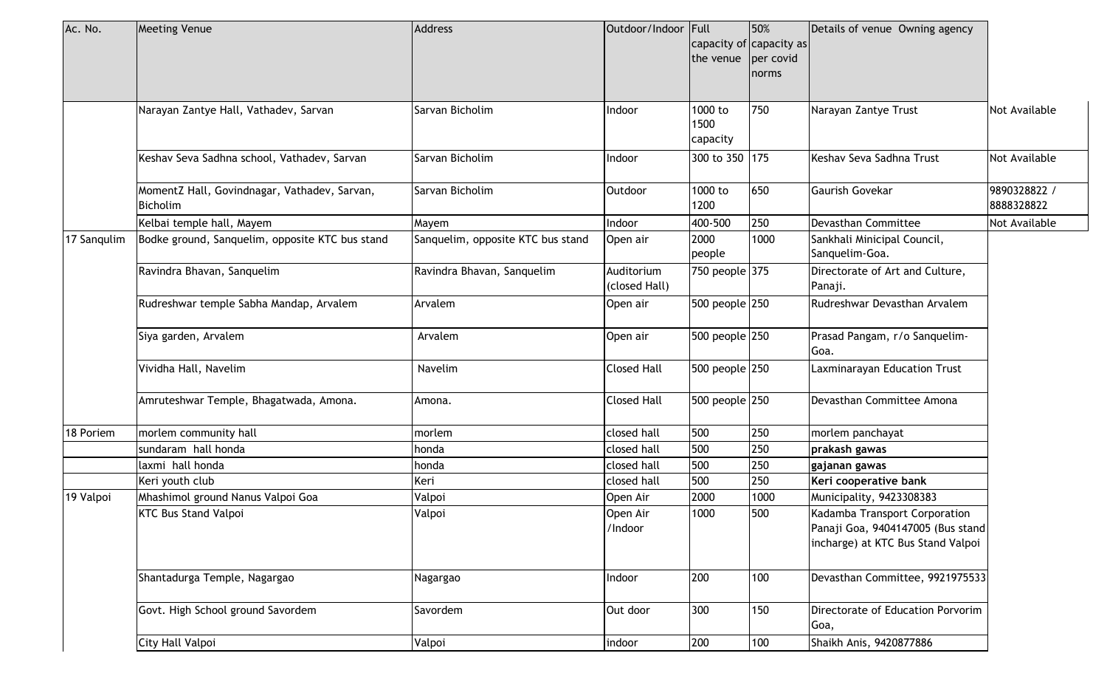| Ac. No.     | <b>Meeting Venue</b>                                            | <b>Address</b>                    | Outdoor/Indoor Full         | the venue per covid         | 50%<br>capacity of capacity as<br>norms | Details of venue Owning agency                                                                          |                            |
|-------------|-----------------------------------------------------------------|-----------------------------------|-----------------------------|-----------------------------|-----------------------------------------|---------------------------------------------------------------------------------------------------------|----------------------------|
|             | Narayan Zantye Hall, Vathadev, Sarvan                           | Sarvan Bicholim                   | Indoor                      | 1000 to<br>1500<br>capacity | 750                                     | Narayan Zantye Trust                                                                                    | Not Available              |
|             | Keshav Seva Sadhna school, Vathadev, Sarvan                     | Sarvan Bicholim                   | Indoor                      | 300 to 350 175              |                                         | Keshav Seva Sadhna Trust                                                                                | Not Available              |
|             | MomentZ Hall, Govindnagar, Vathadev, Sarvan,<br><b>Bicholim</b> | Sarvan Bicholim                   | Outdoor                     | 1000 to<br>1200             | 650                                     | <b>Gaurish Govekar</b>                                                                                  | 9890328822 /<br>8888328822 |
|             | Kelbai temple hall, Mayem                                       | Mayem                             | Indoor                      | 400-500                     | 250                                     | Devasthan Committee                                                                                     | Not Available              |
| 17 Sangulim | Bodke ground, Sanquelim, opposite KTC bus stand                 | Sanquelim, opposite KTC bus stand | Open air                    | 2000<br>people              | 1000                                    | Sankhali Minicipal Council,<br>Sanquelim-Goa.                                                           |                            |
|             | Ravindra Bhavan, Sanquelim                                      | Ravindra Bhavan, Sanquelim        | Auditorium<br>(closed Hall) | 750 people 375              |                                         | Directorate of Art and Culture,<br>Panaji.                                                              |                            |
|             | Rudreshwar temple Sabha Mandap, Arvalem                         | Arvalem                           | Open air                    | 500 people 250              |                                         | Rudreshwar Devasthan Arvalem                                                                            |                            |
|             | Siya garden, Arvalem                                            | Arvalem                           | Open air                    | 500 people 250              |                                         | Prasad Pangam, r/o Sanquelim-<br>Goa.                                                                   |                            |
|             | Vividha Hall, Navelim                                           | Navelim                           | <b>Closed Hall</b>          | 500 people 250              |                                         | Laxminarayan Education Trust                                                                            |                            |
|             | Amruteshwar Temple, Bhagatwada, Amona.                          | Amona.                            | Closed Hall                 | 500 people 250              |                                         | Devasthan Committee Amona                                                                               |                            |
| 18 Poriem   | morlem community hall                                           | morlem                            | closed hall                 | 500                         | 250                                     | morlem panchayat                                                                                        |                            |
|             | sundaram hall honda                                             | honda                             | closed hall                 | 500                         | 250                                     | prakash gawas                                                                                           |                            |
|             | laxmi hall honda                                                | honda                             | closed hall                 | 500                         | 250                                     | gajanan gawas                                                                                           |                            |
|             | Keri youth club                                                 | Keri                              | closed hall                 | 500                         | 250                                     | Keri cooperative bank                                                                                   |                            |
| 19 Valpoi   | Mhashimol ground Nanus Valpoi Goa                               | Valpoi                            | Open Air                    | 2000                        | 1000                                    | Municipality, 9423308383                                                                                |                            |
|             | <b>KTC Bus Stand Valpoi</b>                                     | Valpoi                            | Open Air<br>/Indoor         | 1000                        | 500                                     | Kadamba Transport Corporation<br>Panaji Goa, 9404147005 (Bus stand<br>incharge) at KTC Bus Stand Valpoi |                            |
|             | Shantadurga Temple, Nagargao                                    | Nagargao                          | Indoor                      | 200                         | 100                                     | Devasthan Committee, 9921975533                                                                         |                            |
|             | Govt. High School ground Savordem                               | Savordem                          | Out door                    | 300                         | 150                                     | Directorate of Education Porvorim<br>Goa,                                                               |                            |
|             | City Hall Valpoi                                                | Valpoi                            | indoor                      | 200                         | 100                                     | Shaikh Anis, 9420877886                                                                                 |                            |
|             |                                                                 |                                   |                             |                             |                                         |                                                                                                         |                            |